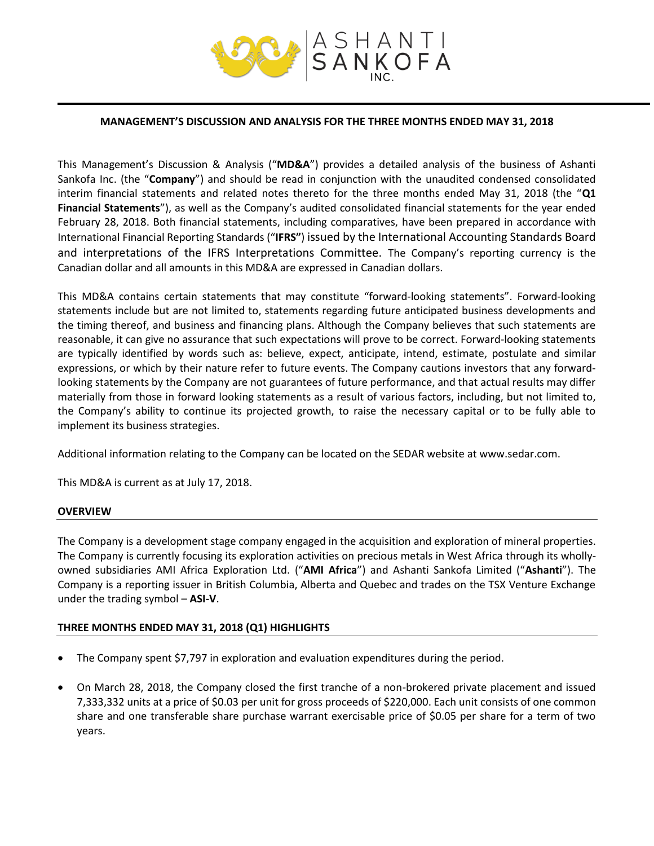

### **MANAGEMENT'S DISCUSSION AND ANALYSIS FOR THE THREE MONTHS ENDED MAY 31, 2018**

This Management's Discussion & Analysis ("**MD&A**") provides a detailed analysis of the business of Ashanti Sankofa Inc. (the "**Company**") and should be read in conjunction with the unaudited condensed consolidated interim financial statements and related notes thereto for the three months ended May 31, 2018 (the "**Q1 Financial Statements**"), as well as the Company's audited consolidated financial statements for the year ended February 28, 2018. Both financial statements, including comparatives, have been prepared in accordance with International Financial Reporting Standards ("**IFRS"**) issued by the International Accounting Standards Board and interpretations of the IFRS Interpretations Committee. The Company's reporting currency is the Canadian dollar and all amounts in this MD&A are expressed in Canadian dollars.

This MD&A contains certain statements that may constitute "forward‐looking statements". Forward‐looking statements include but are not limited to, statements regarding future anticipated business developments and the timing thereof, and business and financing plans. Although the Company believes that such statements are reasonable, it can give no assurance that such expectations will prove to be correct. Forward-looking statements are typically identified by words such as: believe, expect, anticipate, intend, estimate, postulate and similar expressions, or which by their nature refer to future events. The Company cautions investors that any forward‐ looking statements by the Company are not guarantees of future performance, and that actual results may differ materially from those in forward looking statements as a result of various factors, including, but not limited to, the Company's ability to continue its projected growth, to raise the necessary capital or to be fully able to implement its business strategies.

Additional information relating to the Company can be located on the SEDAR website at www.sedar.com.

This MD&A is current as at July 17, 2018.

## **OVERVIEW**

The Company is a development stage company engaged in the acquisition and exploration of mineral properties. The Company is currently focusing its exploration activities on precious metals in West Africa through its whollyowned subsidiaries AMI Africa Exploration Ltd. ("**AMI Africa**") and Ashanti Sankofa Limited ("**Ashanti**"). The Company is a reporting issuer in British Columbia, Alberta and Quebec and trades on the TSX Venture Exchange under the trading symbol – **ASI-V**.

## **THREE MONTHS ENDED MAY 31, 2018 (Q1) HIGHLIGHTS**

- The Company spent \$7,797 in exploration and evaluation expenditures during the period.
- On March 28, 2018, the Company closed the first tranche of a non-brokered private placement and issued 7,333,332 units at a price of \$0.03 per unit for gross proceeds of \$220,000. Each unit consists of one common share and one transferable share purchase warrant exercisable price of \$0.05 per share for a term of two years.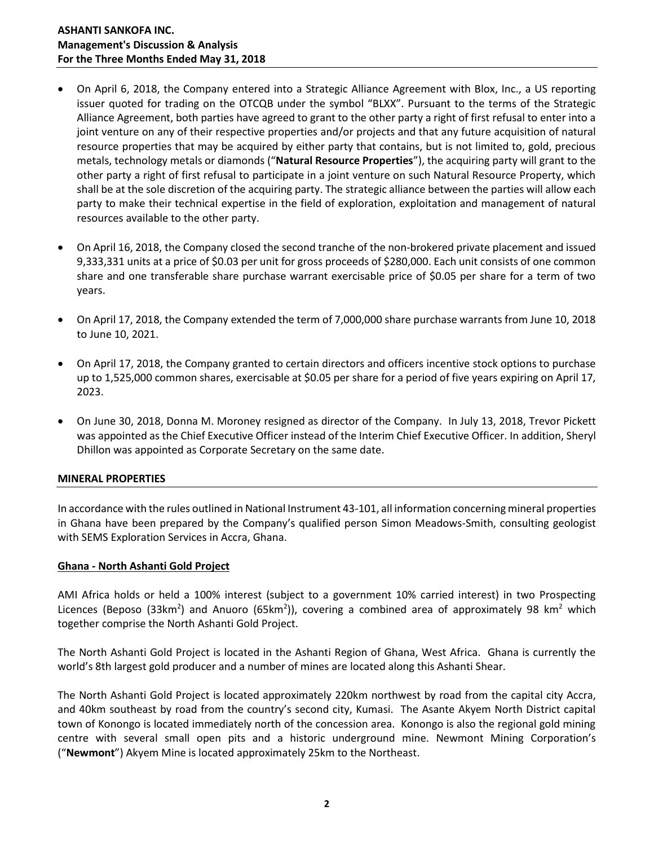- On April 6, 2018, the Company entered into a Strategic Alliance Agreement with Blox, Inc., a US reporting issuer quoted for trading on the OTCQB under the symbol "BLXX". Pursuant to the terms of the Strategic Alliance Agreement, both parties have agreed to grant to the other party a right of first refusal to enter into a joint venture on any of their respective properties and/or projects and that any future acquisition of natural resource properties that may be acquired by either party that contains, but is not limited to, gold, precious metals, technology metals or diamonds ("**Natural Resource Properties**"), the acquiring party will grant to the other party a right of first refusal to participate in a joint venture on such Natural Resource Property, which shall be at the sole discretion of the acquiring party. The strategic alliance between the parties will allow each party to make their technical expertise in the field of exploration, exploitation and management of natural resources available to the other party.
- On April 16, 2018, the Company closed the second tranche of the non-brokered private placement and issued 9,333,331 units at a price of \$0.03 per unit for gross proceeds of \$280,000. Each unit consists of one common share and one transferable share purchase warrant exercisable price of \$0.05 per share for a term of two years.
- On April 17, 2018, the Company extended the term of 7,000,000 share purchase warrants from June 10, 2018 to June 10, 2021.
- On April 17, 2018, the Company granted to certain directors and officers incentive stock options to purchase up to 1,525,000 common shares, exercisable at \$0.05 per share for a period of five years expiring on April 17, 2023.
- On June 30, 2018, Donna M. Moroney resigned as director of the Company. In July 13, 2018, Trevor Pickett was appointed as the Chief Executive Officer instead of the Interim Chief Executive Officer. In addition, Sheryl Dhillon was appointed as Corporate Secretary on the same date.

## **MINERAL PROPERTIES**

In accordance with the rules outlined in National Instrument 43-101, all information concerning mineral properties in Ghana have been prepared by the Company's qualified person Simon Meadows-Smith, consulting geologist with SEMS Exploration Services in Accra, Ghana.

### **Ghana - North Ashanti Gold Project**

AMI Africa holds or held a 100% interest (subject to a government 10% carried interest) in two Prospecting Licences (Beposo (33km<sup>2</sup>) and Anuoro (65km<sup>2</sup>)), covering a combined area of approximately 98 km<sup>2</sup> which together comprise the North Ashanti Gold Project.

The North Ashanti Gold Project is located in the Ashanti Region of Ghana, West Africa. Ghana is currently the world's 8th largest gold producer and a number of mines are located along this Ashanti Shear.

The North Ashanti Gold Project is located approximately 220km northwest by road from the capital city Accra, and 40km southeast by road from the country's second city, Kumasi. The Asante Akyem North District capital town of Konongo is located immediately north of the concession area. Konongo is also the regional gold mining centre with several small open pits and a historic underground mine. Newmont Mining Corporation's ("**Newmont**") Akyem Mine is located approximately 25km to the Northeast.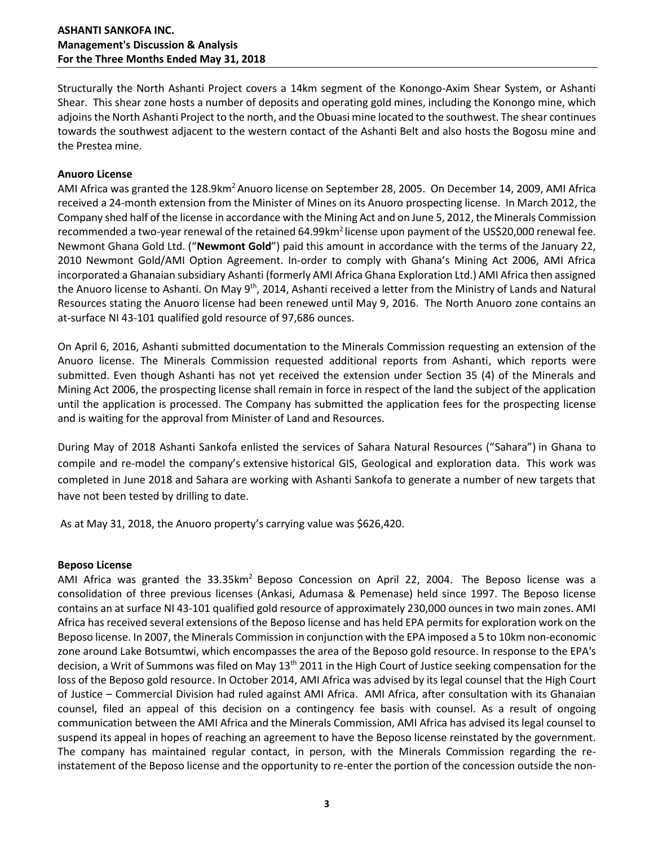## **ASHANTI SANKOFA INC. Management's Discussion & Analysis For the Three Months Ended May 31, 2018**

Structurally the North Ashanti Project covers a 14km segment of the Konongo-Axim Shear System, or Ashanti Shear. This shear zone hosts a number of deposits and operating gold mines, including the Konongo mine, which adjoins the North Ashanti Project to the north, and the Obuasi mine located to the southwest. The shear continues towards the southwest adjacent to the western contact of the Ashanti Belt and also hosts the Bogosu mine and the Prestea mine.

### **Anuoro License**

AMI Africa was granted the 128.9km<sup>2</sup> Anuoro license on September 28, 2005. On December 14, 2009, AMI Africa received a 24-month extension from the Minister of Mines on its Anuoro prospecting license. In March 2012, the Company shed half of the license in accordance with the Mining Act and on June 5, 2012, the Minerals Commission recommended a two-year renewal of the retained 64.99km<sup>2</sup> license upon payment of the US\$20,000 renewal fee. Newmont Ghana Gold Ltd. ("**Newmont Gold**") paid this amount in accordance with the terms of the January 22, 2010 Newmont Gold/AMI Option Agreement. In-order to comply with Ghana's Mining Act 2006, AMI Africa incorporated a Ghanaian subsidiary Ashanti (formerly AMI Africa Ghana Exploration Ltd.) AMI Africa then assigned the Anuoro license to Ashanti. On May 9<sup>th</sup>, 2014, Ashanti received a letter from the Ministry of Lands and Natural Resources stating the Anuoro license had been renewed until May 9, 2016. The North Anuoro zone contains an at-surface NI 43-101 qualified gold resource of 97,686 ounces.

On April 6, 2016, Ashanti submitted documentation to the Minerals Commission requesting an extension of the Anuoro license. The Minerals Commission requested additional reports from Ashanti, which reports were submitted. Even though Ashanti has not yet received the extension under Section 35 (4) of the Minerals and Mining Act 2006, the prospecting license shall remain in force in respect of the land the subject of the application until the application is processed. The Company has submitted the application fees for the prospecting license and is waiting for the approval from Minister of Land and Resources.

During May of 2018 Ashanti Sankofa enlisted the services of Sahara Natural Resources ("Sahara") in Ghana to compile and re-model the company's extensive historical GIS, Geological and exploration data. This work was completed in June 2018 and Sahara are working with Ashanti Sankofa to generate a number of new targets that have not been tested by drilling to date.

As at May 31, 2018, the Anuoro property's carrying value was \$626,420.

### **Beposo License**

AMI Africa was granted the 33.35km<sup>2</sup> Beposo Concession on April 22, 2004. The Beposo license was a consolidation of three previous licenses (Ankasi, Adumasa & Pemenase) held since 1997. The Beposo license contains an at surface NI 43-101 qualified gold resource of approximately 230,000 ounces in two main zones. AMI Africa has received several extensions of the Beposo license and has held EPA permits for exploration work on the Beposo license. In 2007, the Minerals Commission in conjunction with the EPA imposed a 5 to 10km non-economic zone around Lake Botsumtwi, which encompasses the area of the Beposo gold resource. In response to the EPA's decision, a Writ of Summons was filed on May 13<sup>th</sup> 2011 in the High Court of Justice seeking compensation for the loss of the Beposo gold resource. In October 2014, AMI Africa was advised by its legal counsel that the High Court of Justice – Commercial Division had ruled against AMI Africa. AMI Africa, after consultation with its Ghanaian counsel, filed an appeal of this decision on a contingency fee basis with counsel. As a result of ongoing communication between the AMI Africa and the Minerals Commission, AMI Africa has advised its legal counsel to suspend its appeal in hopes of reaching an agreement to have the Beposo license reinstated by the government. The company has maintained regular contact, in person, with the Minerals Commission regarding the reinstatement of the Beposo license and the opportunity to re-enter the portion of the concession outside the non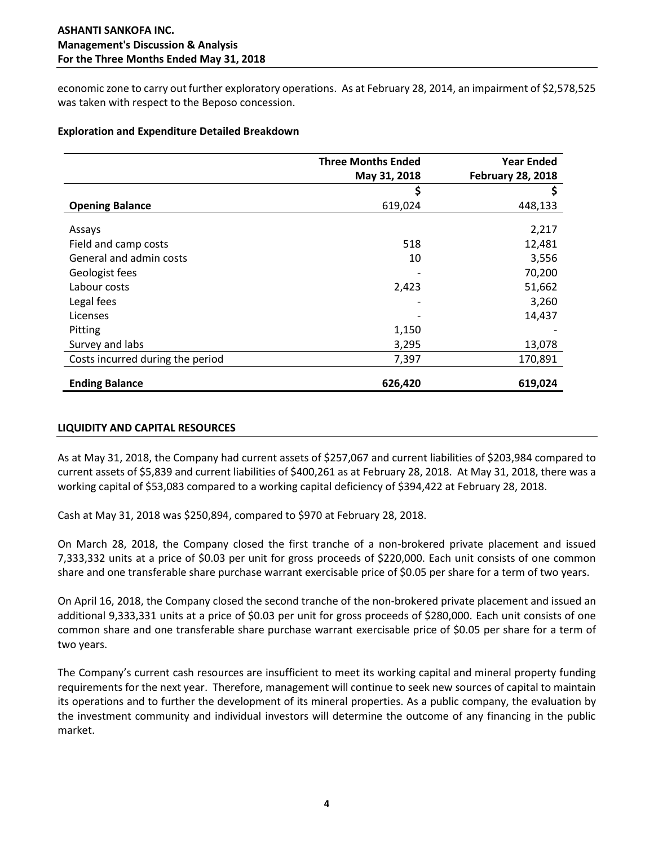economic zone to carry out further exploratory operations. As at February 28, 2014, an impairment of \$2,578,525 was taken with respect to the Beposo concession.

### **Exploration and Expenditure Detailed Breakdown**

|                                  | <b>Three Months Ended</b> | <b>Year Ended</b>        |  |
|----------------------------------|---------------------------|--------------------------|--|
|                                  | May 31, 2018              | <b>February 28, 2018</b> |  |
|                                  | \$                        | Ş                        |  |
| <b>Opening Balance</b>           | 619,024                   | 448,133                  |  |
| Assays                           |                           | 2,217                    |  |
| Field and camp costs             | 518                       | 12,481                   |  |
| General and admin costs          | 10                        | 3,556                    |  |
| Geologist fees                   |                           | 70,200                   |  |
| Labour costs                     | 2,423                     | 51,662                   |  |
| Legal fees                       |                           | 3,260                    |  |
| Licenses                         |                           | 14,437                   |  |
| Pitting                          | 1,150                     |                          |  |
| Survey and labs                  | 3,295                     | 13,078                   |  |
| Costs incurred during the period | 7,397                     | 170,891                  |  |
| <b>Ending Balance</b>            | 626,420                   | 619,024                  |  |

## **LIQUIDITY AND CAPITAL RESOURCES**

As at May 31, 2018, the Company had current assets of \$257,067 and current liabilities of \$203,984 compared to current assets of \$5,839 and current liabilities of \$400,261 as at February 28, 2018. At May 31, 2018, there was a working capital of \$53,083 compared to a working capital deficiency of \$394,422 at February 28, 2018.

Cash at May 31, 2018 was \$250,894, compared to \$970 at February 28, 2018.

On March 28, 2018, the Company closed the first tranche of a non-brokered private placement and issued 7,333,332 units at a price of \$0.03 per unit for gross proceeds of \$220,000. Each unit consists of one common share and one transferable share purchase warrant exercisable price of \$0.05 per share for a term of two years.

On April 16, 2018, the Company closed the second tranche of the non-brokered private placement and issued an additional 9,333,331 units at a price of \$0.03 per unit for gross proceeds of \$280,000. Each unit consists of one common share and one transferable share purchase warrant exercisable price of \$0.05 per share for a term of two years.

The Company's current cash resources are insufficient to meet its working capital and mineral property funding requirements for the next year. Therefore, management will continue to seek new sources of capital to maintain its operations and to further the development of its mineral properties. As a public company, the evaluation by the investment community and individual investors will determine the outcome of any financing in the public market.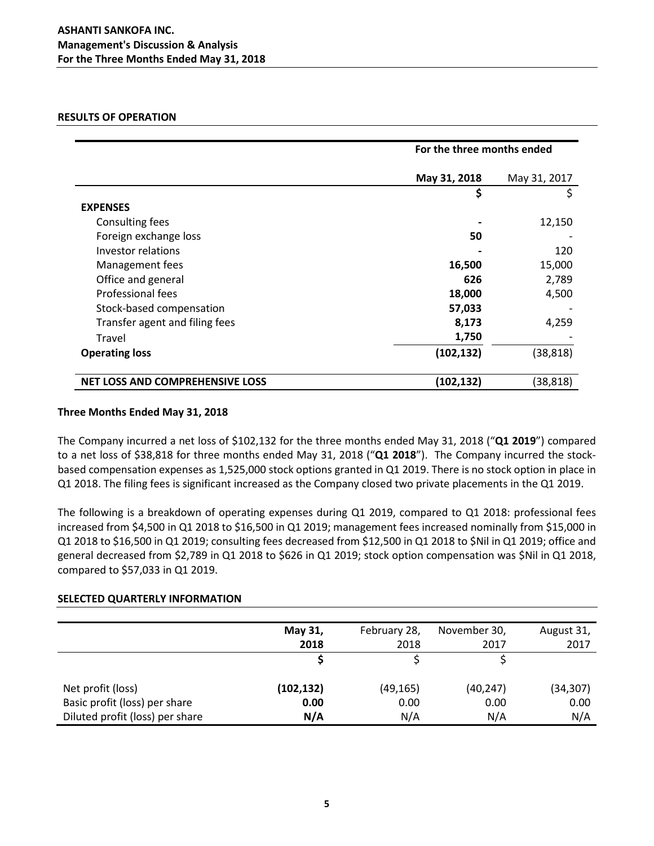### **RESULTS OF OPERATION**

|                                        | For the three months ended |              |  |
|----------------------------------------|----------------------------|--------------|--|
|                                        | May 31, 2018               | May 31, 2017 |  |
|                                        | \$                         | \$           |  |
| <b>EXPENSES</b>                        |                            |              |  |
| Consulting fees                        |                            | 12,150       |  |
| Foreign exchange loss                  | 50                         |              |  |
| Investor relations                     |                            | 120          |  |
| Management fees                        | 16,500                     | 15,000       |  |
| Office and general                     | 626                        | 2,789        |  |
| Professional fees                      | 18,000                     | 4,500        |  |
| Stock-based compensation               | 57,033                     |              |  |
| Transfer agent and filing fees         | 8,173                      | 4,259        |  |
| Travel                                 | 1,750                      |              |  |
| <b>Operating loss</b>                  | (102, 132)                 | (38, 818)    |  |
| <b>NET LOSS AND COMPREHENSIVE LOSS</b> | (102, 132)                 | (38, 818)    |  |

### **Three Months Ended May 31, 2018**

The Company incurred a net loss of \$102,132 for the three months ended May 31, 2018 ("**Q1 2019**") compared to a net loss of \$38,818 for three months ended May 31, 2018 ("**Q1 2018**"). The Company incurred the stockbased compensation expenses as 1,525,000 stock options granted in Q1 2019. There is no stock option in place in Q1 2018. The filing fees is significant increased as the Company closed two private placements in the Q1 2019.

The following is a breakdown of operating expenses during Q1 2019, compared to Q1 2018: professional fees increased from \$4,500 in Q1 2018 to \$16,500 in Q1 2019; management fees increased nominally from \$15,000 in Q1 2018 to \$16,500 in Q1 2019; consulting fees decreased from \$12,500 in Q1 2018 to \$Nil in Q1 2019; office and general decreased from \$2,789 in Q1 2018 to \$626 in Q1 2019; stock option compensation was \$Nil in Q1 2018, compared to \$57,033 in Q1 2019.

## **SELECTED QUARTERLY INFORMATION**

|                                 | May 31,<br>2018 | February 28,<br>2018 | November 30,<br>2017 | August 31,<br>2017 |
|---------------------------------|-----------------|----------------------|----------------------|--------------------|
|                                 |                 |                      |                      |                    |
| Net profit (loss)               | (102,132)       | (49, 165)            | (40, 247)            | (34, 307)          |
| Basic profit (loss) per share   | 0.00            | 0.00                 | 0.00                 | 0.00               |
| Diluted profit (loss) per share | N/A             | N/A                  | N/A                  | N/A                |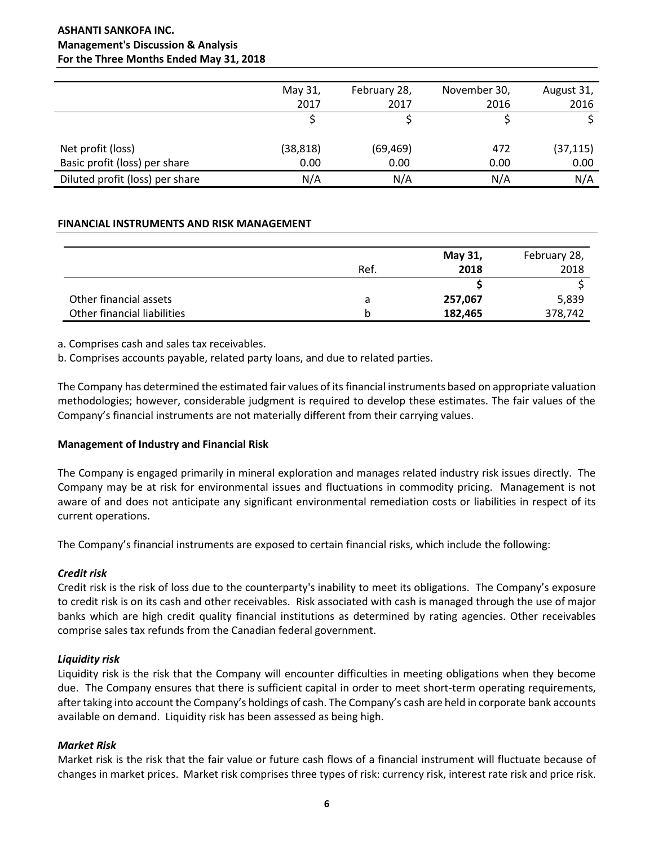# **ASHANTI SANKOFA INC. Management's Discussion & Analysis For the Three Months Ended May 31, 2018**

|                                 | May 31,<br>2017 | February 28,<br>2017 | November 30,<br>2016 | August 31,<br>2016 |
|---------------------------------|-----------------|----------------------|----------------------|--------------------|
|                                 |                 |                      |                      |                    |
| Net profit (loss)               | (38, 818)       | (69, 469)            | 472                  | (37, 115)          |
| Basic profit (loss) per share   | 0.00            | 0.00                 | 0.00                 | 0.00               |
| Diluted profit (loss) per share | N/A             | N/A                  | N/A                  | N/A                |

### **FINANCIAL INSTRUMENTS AND RISK MANAGEMENT**

|                             |      | May 31, | February 28, |
|-----------------------------|------|---------|--------------|
|                             | Ref. | 2018    | 2018         |
|                             |      |         |              |
| Other financial assets      | a    | 257,067 | 5,839        |
| Other financial liabilities | b    | 182,465 | 378,742      |

a. Comprises cash and sales tax receivables.

b. Comprises accounts payable, related party loans, and due to related parties.

The Company has determined the estimated fair values of its financial instruments based on appropriate valuation methodologies; however, considerable judgment is required to develop these estimates. The fair values of the Company's financial instruments are not materially different from their carrying values.

## **Management of Industry and Financial Risk**

The Company is engaged primarily in mineral exploration and manages related industry risk issues directly. The Company may be at risk for environmental issues and fluctuations in commodity pricing. Management is not aware of and does not anticipate any significant environmental remediation costs or liabilities in respect of its current operations.

The Company's financial instruments are exposed to certain financial risks, which include the following:

## *Credit risk*

Credit risk is the risk of loss due to the counterparty's inability to meet its obligations. The Company's exposure to credit risk is on its cash and other receivables. Risk associated with cash is managed through the use of major banks which are high credit quality financial institutions as determined by rating agencies. Other receivables comprise sales tax refunds from the Canadian federal government.

## *Liquidity risk*

Liquidity risk is the risk that the Company will encounter difficulties in meeting obligations when they become due. The Company ensures that there is sufficient capital in order to meet short-term operating requirements, after taking into account the Company's holdings of cash. The Company's cash are held in corporate bank accounts available on demand. Liquidity risk has been assessed as being high.

## *Market Risk*

Market risk is the risk that the fair value or future cash flows of a financial instrument will fluctuate because of changes in market prices. Market risk comprises three types of risk: currency risk, interest rate risk and price risk.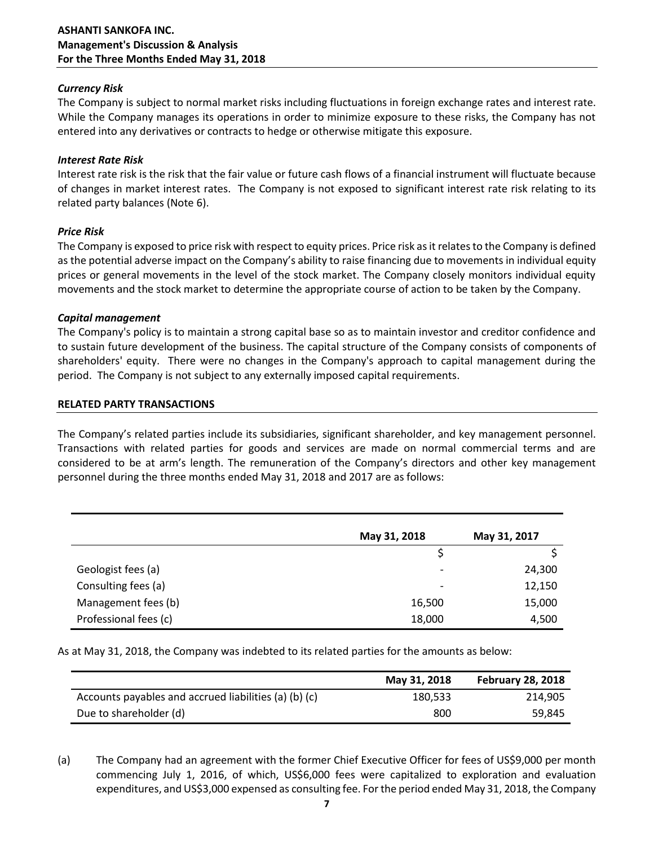### *Currency Risk*

The Company is subject to normal market risks including fluctuations in foreign exchange rates and interest rate. While the Company manages its operations in order to minimize exposure to these risks, the Company has not entered into any derivatives or contracts to hedge or otherwise mitigate this exposure.

### *Interest Rate Risk*

Interest rate risk is the risk that the fair value or future cash flows of a financial instrument will fluctuate because of changes in market interest rates. The Company is not exposed to significant interest rate risk relating to its related party balances (Note 6).

### *Price Risk*

The Company is exposed to price risk with respect to equity prices. Price risk as it relates to the Company is defined as the potential adverse impact on the Company's ability to raise financing due to movements in individual equity prices or general movements in the level of the stock market. The Company closely monitors individual equity movements and the stock market to determine the appropriate course of action to be taken by the Company.

### *Capital management*

The Company's policy is to maintain a strong capital base so as to maintain investor and creditor confidence and to sustain future development of the business. The capital structure of the Company consists of components of shareholders' equity. There were no changes in the Company's approach to capital management during the period. The Company is not subject to any externally imposed capital requirements.

### **RELATED PARTY TRANSACTIONS**

The Company's related parties include its subsidiaries, significant shareholder, and key management personnel. Transactions with related parties for goods and services are made on normal commercial terms and are considered to be at arm's length. The remuneration of the Company's directors and other key management personnel during the three months ended May 31, 2018 and 2017 are as follows:

|                       | May 31, 2018             | May 31, 2017 |
|-----------------------|--------------------------|--------------|
|                       |                          |              |
| Geologist fees (a)    | $\overline{\phantom{a}}$ | 24,300       |
| Consulting fees (a)   | ٠                        | 12,150       |
| Management fees (b)   | 16,500                   | 15,000       |
| Professional fees (c) | 18,000                   | 4,500        |

As at May 31, 2018, the Company was indebted to its related parties for the amounts as below:

|                                                       | May 31, 2018 | <b>February 28, 2018</b> |
|-------------------------------------------------------|--------------|--------------------------|
| Accounts payables and accrued liabilities (a) (b) (c) | 180,533      | 214.905                  |
| Due to shareholder (d)                                | 800          | 59,845                   |

(a) The Company had an agreement with the former Chief Executive Officer for fees of US\$9,000 per month commencing July 1, 2016, of which, US\$6,000 fees were capitalized to exploration and evaluation expenditures, and US\$3,000 expensed as consulting fee. For the period ended May 31, 2018, the Company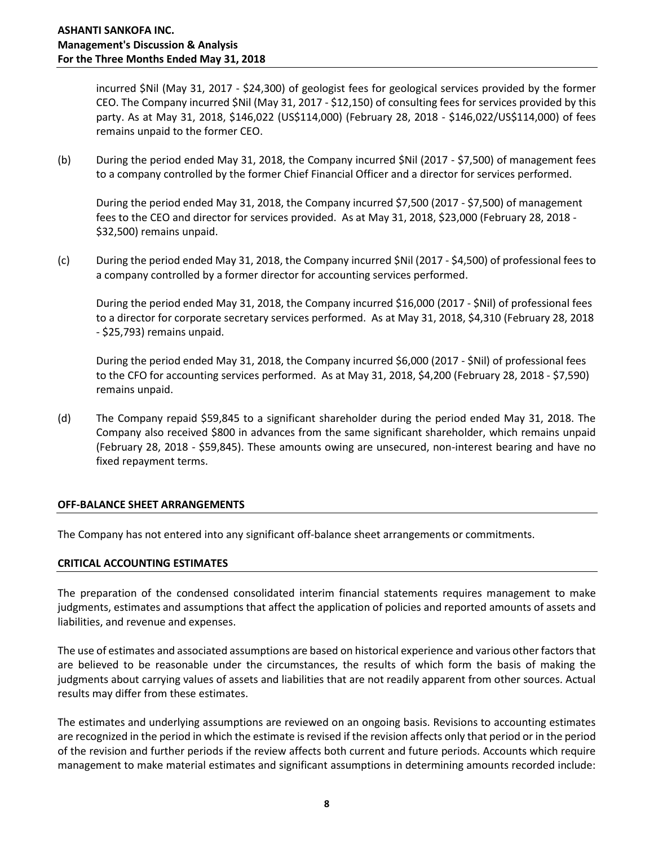incurred \$Nil (May 31, 2017 - \$24,300) of geologist fees for geological services provided by the former CEO. The Company incurred \$Nil (May 31, 2017 - \$12,150) of consulting fees for services provided by this party. As at May 31, 2018, \$146,022 (US\$114,000) (February 28, 2018 - \$146,022/US\$114,000) of fees remains unpaid to the former CEO.

(b) During the period ended May 31, 2018, the Company incurred \$Nil (2017 - \$7,500) of management fees to a company controlled by the former Chief Financial Officer and a director for services performed.

During the period ended May 31, 2018, the Company incurred \$7,500 (2017 - \$7,500) of management fees to the CEO and director for services provided. As at May 31, 2018, \$23,000 (February 28, 2018 - \$32,500) remains unpaid.

(c) During the period ended May 31, 2018, the Company incurred \$Nil (2017 - \$4,500) of professional fees to a company controlled by a former director for accounting services performed.

During the period ended May 31, 2018, the Company incurred \$16,000 (2017 - \$Nil) of professional fees to a director for corporate secretary services performed. As at May 31, 2018, \$4,310 (February 28, 2018 - \$25,793) remains unpaid.

During the period ended May 31, 2018, the Company incurred \$6,000 (2017 - \$Nil) of professional fees to the CFO for accounting services performed. As at May 31, 2018, \$4,200 (February 28, 2018 - \$7,590) remains unpaid.

(d) The Company repaid \$59,845 to a significant shareholder during the period ended May 31, 2018. The Company also received \$800 in advances from the same significant shareholder, which remains unpaid (February 28, 2018 - \$59,845). These amounts owing are unsecured, non-interest bearing and have no fixed repayment terms.

### **OFF-BALANCE SHEET ARRANGEMENTS**

The Company has not entered into any significant off-balance sheet arrangements or commitments.

### **CRITICAL ACCOUNTING ESTIMATES**

The preparation of the condensed consolidated interim financial statements requires management to make judgments, estimates and assumptions that affect the application of policies and reported amounts of assets and liabilities, and revenue and expenses.

The use of estimates and associated assumptions are based on historical experience and various other factors that are believed to be reasonable under the circumstances, the results of which form the basis of making the judgments about carrying values of assets and liabilities that are not readily apparent from other sources. Actual results may differ from these estimates.

The estimates and underlying assumptions are reviewed on an ongoing basis. Revisions to accounting estimates are recognized in the period in which the estimate is revised if the revision affects only that period or in the period of the revision and further periods if the review affects both current and future periods. Accounts which require management to make material estimates and significant assumptions in determining amounts recorded include: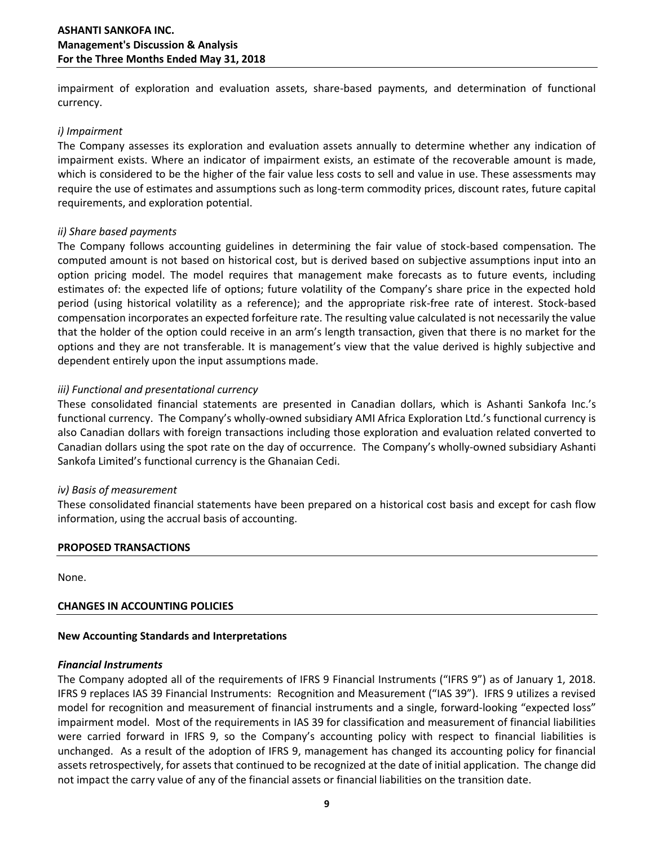impairment of exploration and evaluation assets, share-based payments, and determination of functional currency.

### *i) Impairment*

The Company assesses its exploration and evaluation assets annually to determine whether any indication of impairment exists. Where an indicator of impairment exists, an estimate of the recoverable amount is made, which is considered to be the higher of the fair value less costs to sell and value in use. These assessments may require the use of estimates and assumptions such as long-term commodity prices, discount rates, future capital requirements, and exploration potential.

### *ii) Share based payments*

The Company follows accounting guidelines in determining the fair value of stock-based compensation. The computed amount is not based on historical cost, but is derived based on subjective assumptions input into an option pricing model. The model requires that management make forecasts as to future events, including estimates of: the expected life of options; future volatility of the Company's share price in the expected hold period (using historical volatility as a reference); and the appropriate risk-free rate of interest. Stock-based compensation incorporates an expected forfeiture rate. The resulting value calculated is not necessarily the value that the holder of the option could receive in an arm's length transaction, given that there is no market for the options and they are not transferable. It is management's view that the value derived is highly subjective and dependent entirely upon the input assumptions made.

### *iii) Functional and presentational currency*

These consolidated financial statements are presented in Canadian dollars, which is Ashanti Sankofa Inc.'s functional currency. The Company's wholly-owned subsidiary AMI Africa Exploration Ltd.'s functional currency is also Canadian dollars with foreign transactions including those exploration and evaluation related converted to Canadian dollars using the spot rate on the day of occurrence. The Company's wholly‐owned subsidiary Ashanti Sankofa Limited's functional currency is the Ghanaian Cedi.

### *iv) Basis of measurement*

These consolidated financial statements have been prepared on a historical cost basis and except for cash flow information, using the accrual basis of accounting.

### **PROPOSED TRANSACTIONS**

None.

## **CHANGES IN ACCOUNTING POLICIES**

### **New Accounting Standards and Interpretations**

### *Financial Instruments*

The Company adopted all of the requirements of IFRS 9 Financial Instruments ("IFRS 9") as of January 1, 2018. IFRS 9 replaces IAS 39 Financial Instruments: Recognition and Measurement ("IAS 39"). IFRS 9 utilizes a revised model for recognition and measurement of financial instruments and a single, forward-looking "expected loss" impairment model. Most of the requirements in IAS 39 for classification and measurement of financial liabilities were carried forward in IFRS 9, so the Company's accounting policy with respect to financial liabilities is unchanged. As a result of the adoption of IFRS 9, management has changed its accounting policy for financial assets retrospectively, for assets that continued to be recognized at the date of initial application. The change did not impact the carry value of any of the financial assets or financial liabilities on the transition date.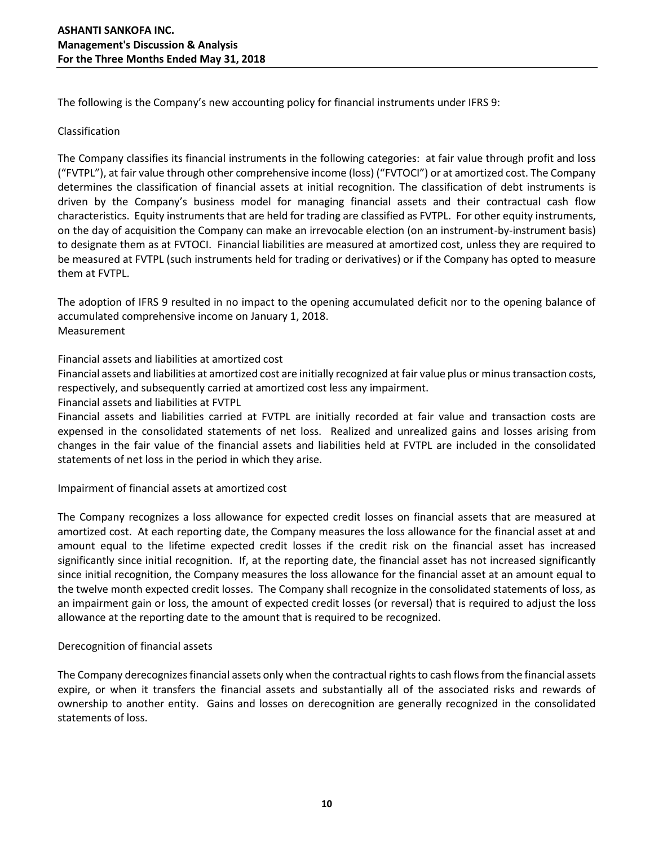The following is the Company's new accounting policy for financial instruments under IFRS 9:

## Classification

The Company classifies its financial instruments in the following categories: at fair value through profit and loss ("FVTPL"), at fair value through other comprehensive income (loss) ("FVTOCI") or at amortized cost. The Company determines the classification of financial assets at initial recognition. The classification of debt instruments is driven by the Company's business model for managing financial assets and their contractual cash flow characteristics. Equity instruments that are held for trading are classified as FVTPL. For other equity instruments, on the day of acquisition the Company can make an irrevocable election (on an instrument-by-instrument basis) to designate them as at FVTOCI. Financial liabilities are measured at amortized cost, unless they are required to be measured at FVTPL (such instruments held for trading or derivatives) or if the Company has opted to measure them at FVTPL.

The adoption of IFRS 9 resulted in no impact to the opening accumulated deficit nor to the opening balance of accumulated comprehensive income on January 1, 2018. Measurement

Financial assets and liabilities at amortized cost

Financial assets and liabilities at amortized cost are initially recognized at fair value plus or minus transaction costs, respectively, and subsequently carried at amortized cost less any impairment.

Financial assets and liabilities at FVTPL

Financial assets and liabilities carried at FVTPL are initially recorded at fair value and transaction costs are expensed in the consolidated statements of net loss. Realized and unrealized gains and losses arising from changes in the fair value of the financial assets and liabilities held at FVTPL are included in the consolidated statements of net loss in the period in which they arise.

Impairment of financial assets at amortized cost

The Company recognizes a loss allowance for expected credit losses on financial assets that are measured at amortized cost. At each reporting date, the Company measures the loss allowance for the financial asset at and amount equal to the lifetime expected credit losses if the credit risk on the financial asset has increased significantly since initial recognition. If, at the reporting date, the financial asset has not increased significantly since initial recognition, the Company measures the loss allowance for the financial asset at an amount equal to the twelve month expected credit losses. The Company shall recognize in the consolidated statements of loss, as an impairment gain or loss, the amount of expected credit losses (or reversal) that is required to adjust the loss allowance at the reporting date to the amount that is required to be recognized.

# Derecognition of financial assets

The Company derecognizes financial assets only when the contractual rights to cash flows from the financial assets expire, or when it transfers the financial assets and substantially all of the associated risks and rewards of ownership to another entity. Gains and losses on derecognition are generally recognized in the consolidated statements of loss.